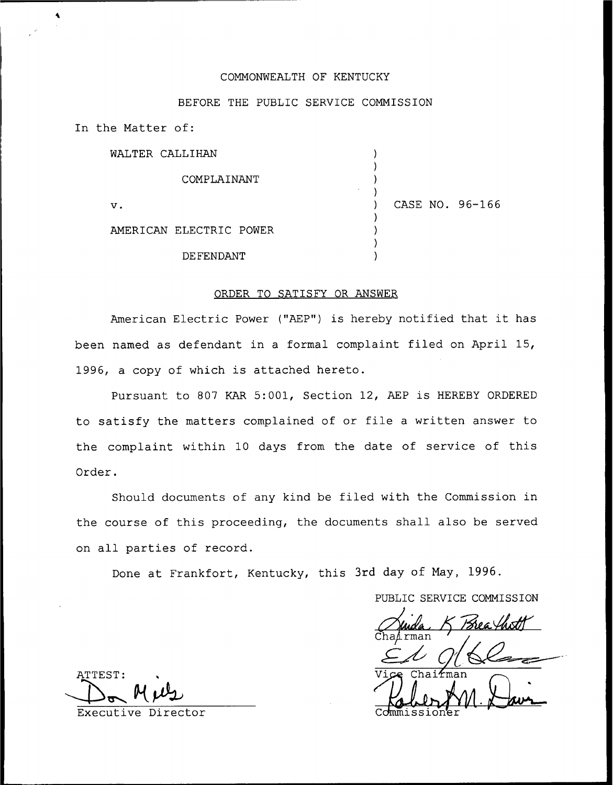# COMMONWEALTH OF KENTUCKY

## BEFORE THE PUBLIC SERVICE COMMISSION

In the Matter of:

WALTER CALLIHAN ) ) COMPLAINANT  $\overline{\phantom{a}}$  $\prime$ ) CASE NO. 96-166 v. ) AMERICAN ELECTRIC POWER ) ) DE FENDANT )

## ORDER TO SATISFY OR ANSWER

American Electric Power ("AEP") is hereby notified that it has been named as defendant in a formal complaint filed on April 15, 1996, a copy of which is attached hereto.

Pursuant to 807 KAR 5:001, Section 12, AEP is HEREBY ORDERED to satisfy the matters complained of or file <sup>a</sup> written answer to the complaint within 10 days from the date of service of this Order.

Should documents of any kind be filed with the Commission in the course of this proceeding, the documents shall also be served on all parties of record.

Done at Frankfort, Kentucky, this 3rd day of May, 1996.

PUBLIC SERVICE COMMISSION

 $Chai$   $K$ mar

ATTEST:

Executive Director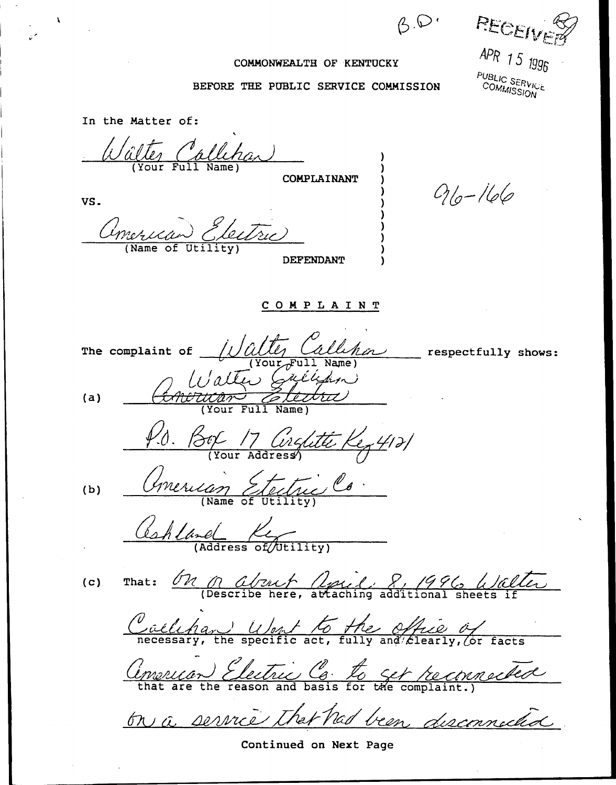$B.\mathcal{D}$ 

PECEI APR 15 1991

PUBLIC SERVICE<br>COMMISSION

#### COMMONWEALTH OF KENTUCKY

#### BEFORE THE PUBLIC SERVICE COMMISSION

In the Matter of: alle Callehan ) ) **COMPLAINANT**  $910 - 166$ ) VS. ) ) American Electric ) ) (Name of Utility) ) DEFENDANT ) <sup>C</sup> 0 <sup>M</sup> <sup>P</sup> <sup>L</sup> <sup>A</sup> I <sup>N</sup> <sup>T</sup> The complaint of  $/$  Valley Callehor respectfully shows:  $(Your$  $Full$  Name (Your Full Name) (a)  $P.d.$  Box 17 Conslitte Key 4121 Comercian Stectue Co. (b) Cahland Ky *R*<br>ditional<br>difice<br>dificearl (c) That:  $\frac{\partial n}{\partial s}$  about  $\frac{\partial n}{\partial t}$ ,  $\frac{\partial n}{\partial t}$ ,  $\frac{\partial n}{\partial s}$  (Dalter the *Milly and Elearly*, *Caelchan) Ubnf fi*  $\frac{1}{\sqrt{2}}$ Caelcha facts Concruen Electric C. to set reconnected

Continued on Next Page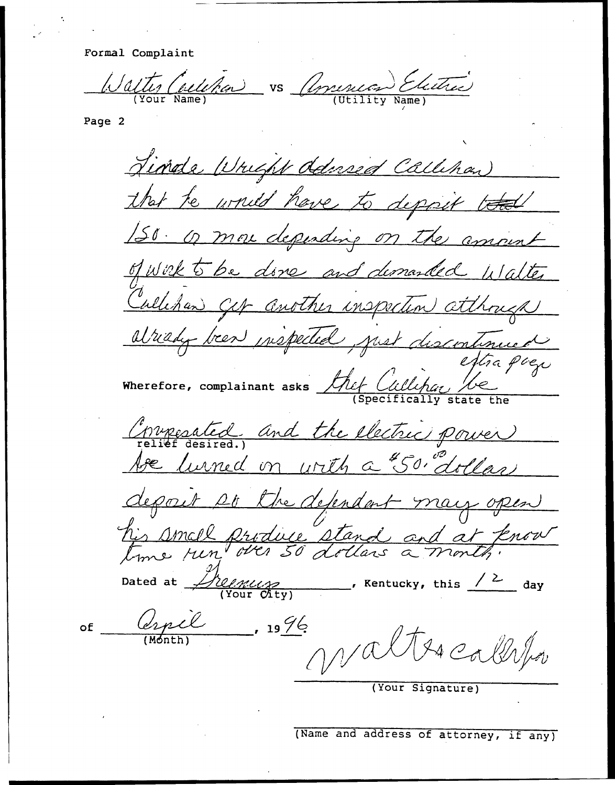Formal Complaint

(Your Name) f, VS (Utility Name) /

Page 2

of

Tinde Wright delived Callinar that te would have to Mer re unied have to depp / of work to be done and demanded walter of work Callehan Cet another inspection atthough ran Ger another inspective Wherefore, complainant asks  $\mathcal{L}$ hef  $\mathcal{L}$ (Specifically state the ("moresated and the electric power be lurned on with a "50" dollars poit DO the defendant may open  $\frac{1}{\sqrt{1-\frac{1}{\sqrt{1-\frac{1}{\sqrt{1-\frac{1}{\sqrt{1-\frac{1}{\sqrt{1-\frac{1}{\sqrt{1-\frac{1}{\sqrt{1-\frac{1}{\sqrt{1-\frac{1}{\sqrt{1-\frac{1}{\sqrt{1-\frac{1}{\sqrt{1-\frac{1}{\sqrt{1-\frac{1}{\sqrt{1-\frac{1}{\sqrt{1-\frac{1}{\sqrt{1-\frac{1}{\sqrt{1-\frac{1}{\sqrt{1-\frac{1}{\sqrt{1-\frac{1}{\sqrt{1-\frac{1}{\sqrt{1-\frac{1}{\sqrt{1-\frac{1}{\sqrt{1-\frac{1}{\sqrt{1-\frac{1}{\sqrt{1-\frac{1$ small produce stand and a <u>Le province.</u>  $D$  and  $\frac{D}{2}$  it is the contract of  $\frac{D}{2}$  denoted at  $\frac{D}{2}$  (Your Gty) 2 19 G  $724c$ (Month (Your Signature)

(Name and address of attorney, if any)